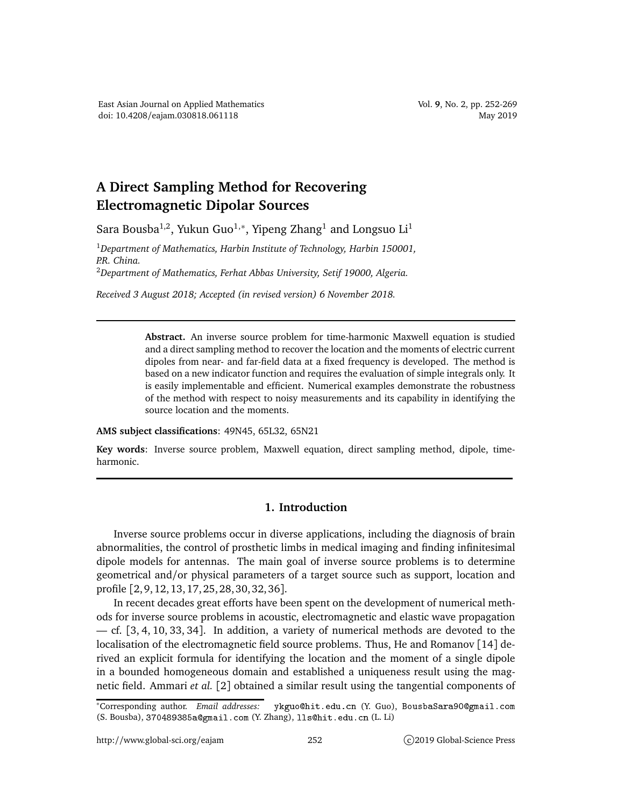## **A Direct Sampling Method for Recovering Electromagnetic Dipolar Sources**

Sara Bousba<sup>1,2</sup>, Yukun Guo<sup>1,∗</sup>, Yipeng Zhang<sup>1</sup> and Longsuo Li<sup>1</sup>

<sup>1</sup>*Department of Mathematics, Harbin Institute of Technology, Harbin 150001, P.R. China.* <sup>2</sup>*Department of Mathematics, Ferhat Abbas University, Setif 19000, Algeria.*

*Received 3 August 2018; Accepted (in revised version) 6 November 2018.*

**Abstract.** An inverse source problem for time-harmonic Maxwell equation is studied and a direct sampling method to recover the location and the moments of electric current dipoles from near- and far-field data at a fixed frequency is developed. The method is based on a new indicator function and requires the evaluation of simple integrals only. It is easily implementable and efficient. Numerical examples demonstrate the robustness of the method with respect to noisy measurements and its capability in identifying the source location and the moments.

**AMS subject classifications**: 49N45, 65L32, 65N21

**Key words**: Inverse source problem, Maxwell equation, direct sampling method, dipole, timeharmonic.

## **1. Introduction**

Inverse source problems occur in diverse applications, including the diagnosis of brain abnormalities, the control of prosthetic limbs in medical imaging and finding infinitesimal dipole models for antennas. The main goal of inverse source problems is to determine geometrical and/or physical parameters of a target source such as support, location and profile [2, 9, 12, 13, 17, 25, 28, 30, 32, 36].

In recent decades great efforts have been spent on the development of numerical methods for inverse source problems in acoustic, electromagnetic and elastic wave propagation — cf. [3, 4, 10, 33, 34]. In addition, a variety of numerical methods are devoted to the localisation of the electromagnetic field source problems. Thus, He and Romanov [14] derived an explicit formula for identifying the location and the moment of a single dipole in a bounded homogeneous domain and established a uniqueness result using the magnetic field. Ammari *et al.* [2] obtained a similar result using the tangential components of

<sup>\*</sup>Corresponding author. Email addresses: ykguo@hit.edu.cn (Y. Guo), BousbaSara90@gmail.com (S. Bousba), 370489385a@gmail.com (Y. Zhang), lls@hit.edu.cn (L. Li)